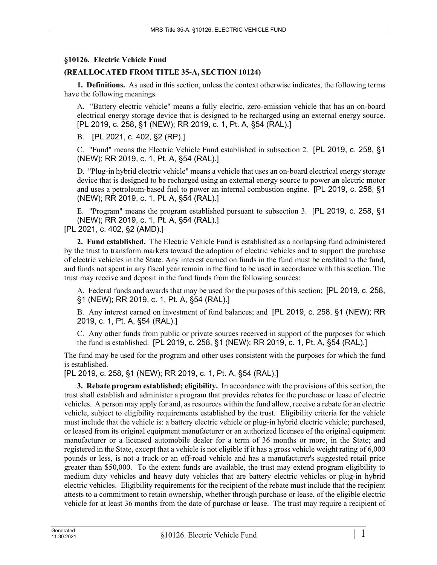## **§10126. Electric Vehicle Fund**

## **(REALLOCATED FROM TITLE 35-A, SECTION 10124)**

**1. Definitions.** As used in this section, unless the context otherwise indicates, the following terms have the following meanings.

A. "Battery electric vehicle" means a fully electric, zero-emission vehicle that has an on-board electrical energy storage device that is designed to be recharged using an external energy source. [PL 2019, c. 258, §1 (NEW); RR 2019, c. 1, Pt. A, §54 (RAL).]

B. [PL 2021, c. 402, §2 (RP).]

C. "Fund" means the Electric Vehicle Fund established in subsection 2. [PL 2019, c. 258, §1 (NEW); RR 2019, c. 1, Pt. A, §54 (RAL).]

D. "Plug-in hybrid electric vehicle" means a vehicle that uses an on-board electrical energy storage device that is designed to be recharged using an external energy source to power an electric motor and uses a petroleum-based fuel to power an internal combustion engine. [PL 2019, c. 258, §1 (NEW); RR 2019, c. 1, Pt. A, §54 (RAL).]

E. "Program" means the program established pursuant to subsection 3. [PL 2019, c. 258, §1 (NEW); RR 2019, c. 1, Pt. A, §54 (RAL).]

[PL 2021, c. 402, §2 (AMD).]

**2. Fund established.** The Electric Vehicle Fund is established as a nonlapsing fund administered by the trust to transform markets toward the adoption of electric vehicles and to support the purchase of electric vehicles in the State. Any interest earned on funds in the fund must be credited to the fund, and funds not spent in any fiscal year remain in the fund to be used in accordance with this section. The trust may receive and deposit in the fund funds from the following sources:

A. Federal funds and awards that may be used for the purposes of this section; [PL 2019, c. 258, §1 (NEW); RR 2019, c. 1, Pt. A, §54 (RAL).]

B. Any interest earned on investment of fund balances; and [PL 2019, c. 258, §1 (NEW); RR 2019, c. 1, Pt. A, §54 (RAL).]

C. Any other funds from public or private sources received in support of the purposes for which the fund is established. [PL 2019, c. 258, §1 (NEW); RR 2019, c. 1, Pt. A, §54 (RAL).]

The fund may be used for the program and other uses consistent with the purposes for which the fund is established.

[PL 2019, c. 258, §1 (NEW); RR 2019, c. 1, Pt. A, §54 (RAL).]

**3. Rebate program established; eligibility.** In accordance with the provisions of this section, the trust shall establish and administer a program that provides rebates for the purchase or lease of electric vehicles. A person may apply for and, as resources within the fund allow, receive a rebate for an electric vehicle, subject to eligibility requirements established by the trust. Eligibility criteria for the vehicle must include that the vehicle is: a battery electric vehicle or plug-in hybrid electric vehicle; purchased, or leased from its original equipment manufacturer or an authorized licensee of the original equipment manufacturer or a licensed automobile dealer for a term of 36 months or more, in the State; and registered in the State, except that a vehicle is not eligible if it has a gross vehicle weight rating of 6,000 pounds or less, is not a truck or an off-road vehicle and has a manufacturer's suggested retail price greater than \$50,000. To the extent funds are available, the trust may extend program eligibility to medium duty vehicles and heavy duty vehicles that are battery electric vehicles or plug-in hybrid electric vehicles. Eligibility requirements for the recipient of the rebate must include that the recipient attests to a commitment to retain ownership, whether through purchase or lease, of the eligible electric vehicle for at least 36 months from the date of purchase or lease. The trust may require a recipient of